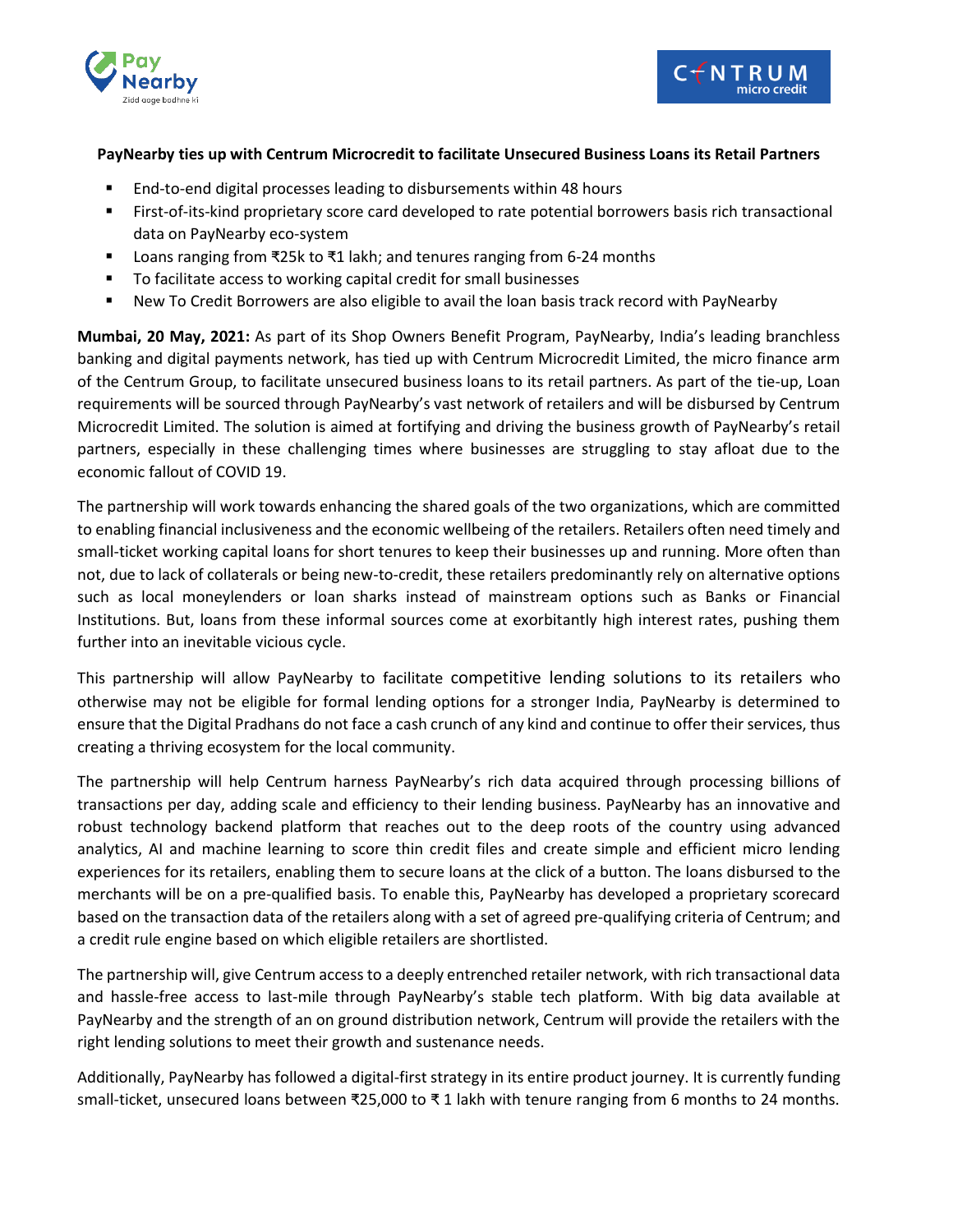



## **PayNearby ties up with Centrum Microcredit to facilitate Unsecured Business Loans its Retail Partners**

- End-to-end digital processes leading to disbursements within 48 hours
- First-of-its-kind proprietary score card developed to rate potential borrowers basis rich transactional data on PayNearby eco-system
- Loans ranging from ₹25k to ₹1 lakh; and tenures ranging from 6-24 months
- To facilitate access to working capital credit for small businesses
- New To Credit Borrowers are also eligible to avail the loan basis track record with PayNearby

**Mumbai, 20 May, 2021:** As part of its Shop Owners Benefit Program, PayNearby, India's leading branchless banking and digital payments network, has tied up with Centrum Microcredit Limited, the micro finance arm of the Centrum Group, to facilitate unsecured business loans to its retail partners. As part of the tie-up, Loan requirements will be sourced through PayNearby's vast network of retailers and will be disbursed by Centrum Microcredit Limited. The solution is aimed at fortifying and driving the business growth of PayNearby's retail partners, especially in these challenging times where businesses are struggling to stay afloat due to the economic fallout of COVID 19.

The partnership will work towards enhancing the shared goals of the two organizations, which are committed to enabling financial inclusiveness and the economic wellbeing of the retailers. Retailers often need timely and small-ticket working capital loans for short tenures to keep their businesses up and running. More often than not, due to lack of collaterals or being new-to-credit, these retailers predominantly rely on alternative options such as local moneylenders or loan sharks instead of mainstream options such as Banks or Financial Institutions. But, loans from these informal sources come at exorbitantly high interest rates, pushing them further into an inevitable vicious cycle.

This partnership will allow PayNearby to facilitate competitive lending solutions to its retailers who otherwise may not be eligible for formal lending options for a stronger India, PayNearby is determined to ensure that the Digital Pradhans do not face a cash crunch of any kind and continue to offer their services, thus creating a thriving ecosystem for the local community.

The partnership will help Centrum harness PayNearby's rich data acquired through processing billions of transactions per day, adding scale and efficiency to their lending business. PayNearby has an innovative and robust technology backend platform that reaches out to the deep roots of the country using advanced analytics, AI and machine learning to score thin credit files and create simple and efficient micro lending experiences for its retailers, enabling them to secure loans at the click of a button. The loans disbursed to the merchants will be on a pre-qualified basis. To enable this, PayNearby has developed a proprietary scorecard based on the transaction data of the retailers along with a set of agreed pre-qualifying criteria of Centrum; and a credit rule engine based on which eligible retailers are shortlisted.

The partnership will, give Centrum access to a deeply entrenched retailer network, with rich transactional data and hassle-free access to last-mile through PayNearby's stable tech platform. With big data available at PayNearby and the strength of an on ground distribution network, Centrum will provide the retailers with the right lending solutions to meet their growth and sustenance needs.

Additionally, PayNearby has followed a digital-first strategy in its entire product journey. It is currently funding small-ticket, unsecured loans between ₹25,000 to ₹ 1 lakh with tenure ranging from 6 months to 24 months.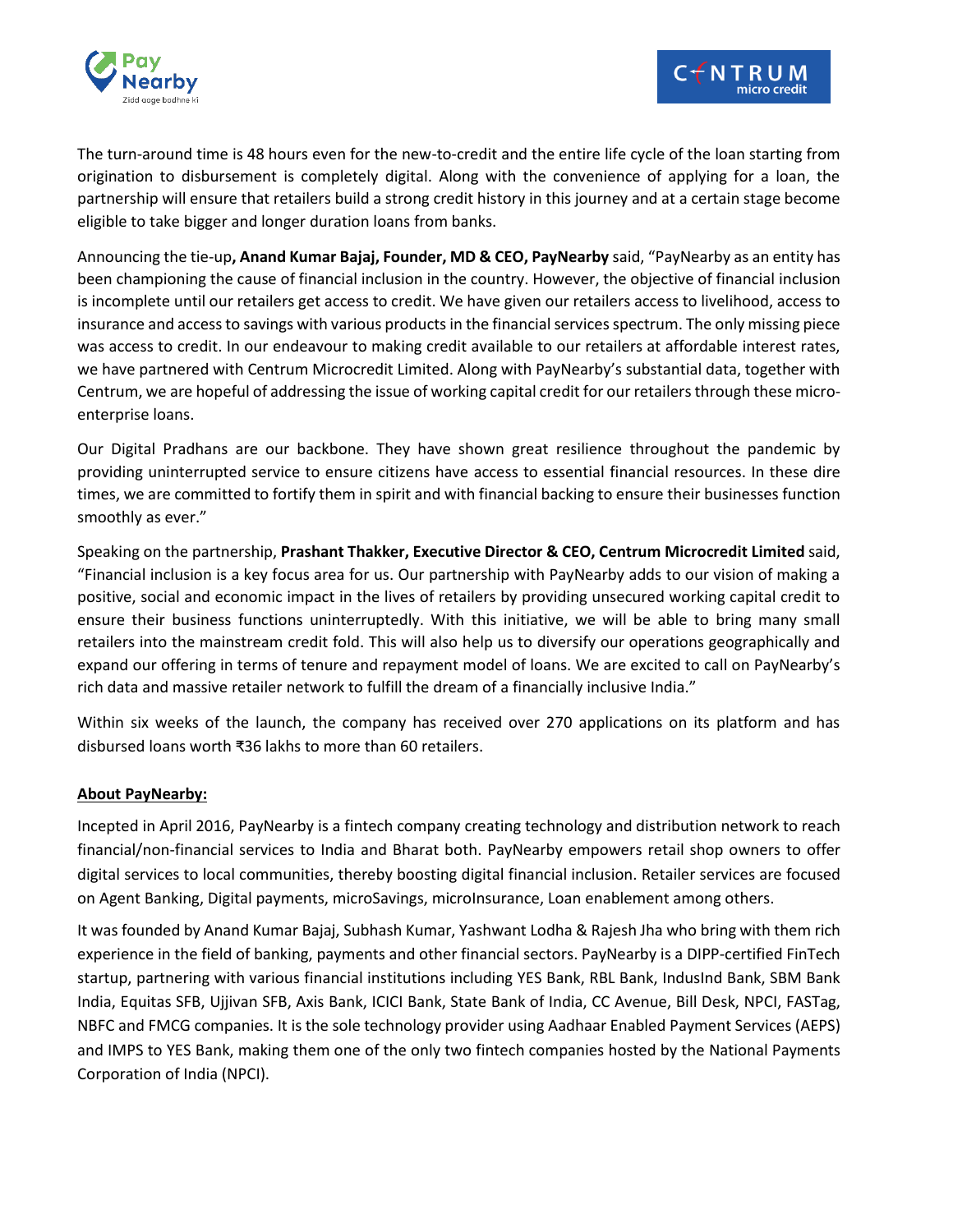



The turn-around time is 48 hours even for the new-to-credit and the entire life cycle of the loan starting from origination to disbursement is completely digital. Along with the convenience of applying for a loan, the partnership will ensure that retailers build a strong credit history in this journey and at a certain stage become eligible to take bigger and longer duration loans from banks.

Announcing the tie-up**, Anand Kumar Bajaj, Founder, MD & CEO, PayNearby** said, "PayNearby as an entity has been championing the cause of financial inclusion in the country. However, the objective of financial inclusion is incomplete until our retailers get access to credit. We have given our retailers access to livelihood, access to insurance and access to savings with various products in the financial services spectrum. The only missing piece was access to credit. In our endeavour to making credit available to our retailers at affordable interest rates, we have partnered with Centrum Microcredit Limited. Along with PayNearby's substantial data, together with Centrum, we are hopeful of addressing the issue of working capital credit for our retailers through these microenterprise loans.

Our Digital Pradhans are our backbone. They have shown great resilience throughout the pandemic by providing uninterrupted service to ensure citizens have access to essential financial resources. In these dire times, we are committed to fortify them in spirit and with financial backing to ensure their businesses function smoothly as ever."

Speaking on the partnership, **Prashant Thakker, Executive Director & CEO, Centrum Microcredit Limited** said, "Financial inclusion is a key focus area for us. Our partnership with PayNearby adds to our vision of making a positive, social and economic impact in the lives of retailers by providing unsecured working capital credit to ensure their business functions uninterruptedly. With this initiative, we will be able to bring many small retailers into the mainstream credit fold. This will also help us to diversify our operations geographically and expand our offering in terms of tenure and repayment model of loans. We are excited to call on PayNearby's rich data and massive retailer network to fulfill the dream of a financially inclusive India."

Within six weeks of the launch, the company has received over 270 applications on its platform and has disbursed loans worth ₹36 lakhs to more than 60 retailers.

## **About PayNearby:**

Incepted in April 2016, PayNearby is a fintech company creating technology and distribution network to reach financial/non-financial services to India and Bharat both. PayNearby empowers retail shop owners to offer digital services to local communities, thereby boosting digital financial inclusion. Retailer services are focused on Agent Banking, Digital payments, microSavings, microInsurance, Loan enablement among others.

It was founded by Anand Kumar Bajaj, Subhash Kumar, Yashwant Lodha & Rajesh Jha who bring with them rich experience in the field of banking, payments and other financial sectors. PayNearby is a DIPP-certified FinTech startup, partnering with various financial institutions including YES Bank, RBL Bank, IndusInd Bank, SBM Bank India, Equitas SFB, Ujjivan SFB, Axis Bank, ICICI Bank, State Bank of India, CC Avenue, Bill Desk, NPCI, FASTag, NBFC and FMCG companies. It is the sole technology provider using Aadhaar Enabled Payment Services (AEPS) and IMPS to YES Bank, making them one of the only two fintech companies hosted by the National Payments Corporation of India (NPCI).